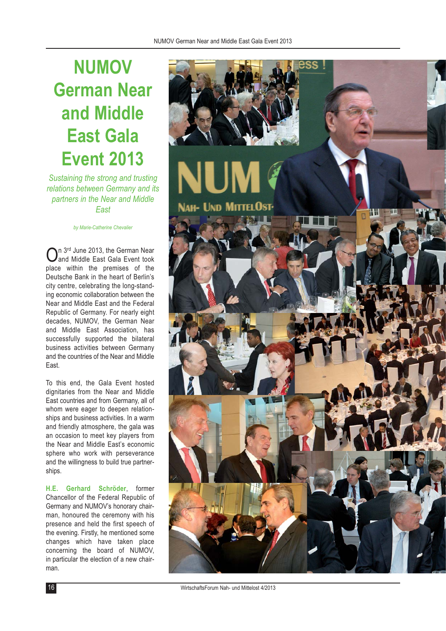## **NUMOV German Near and Middle East Gala Event 2013**

*Sustaining the strong and trusting relations between Germany and its partners in the Near and Middle East* 

*by Marie-Catherine Chevalier*

n 3rd June 2013, the German Near and Middle East Gala Event took place within the premises of the Deutsche Bank in the heart of Berlin's city centre, celebrating the long-standing economic collaboration between the Near and Middle East and the Federal Republic of Germany. For nearly eight decades, NUMOV, the German Near and Middle East Association, has successfully supported the bilateral business activities between Germany and the countries of the Near and Middle East.

To this end, the Gala Event hosted dignitaries from the Near and Middle East countries and from Germany, all of whom were eager to deepen relationships and business activities. In a warm and friendly atmosphere, the gala was an occasion to meet key players from the Near and Middle East's economic sphere who work with perseverance and the willingness to build true partnerships.

**H.E. Gerhard Schröder**, former Chancellor of the Federal Republic of Germany and NUMOV's honorary chairman, honoured the ceremony with his presence and held the first speech of the evening. Firstly, he mentioned some changes which have taken place concerning the board of NUMOV, in particular the election of a new chairman.

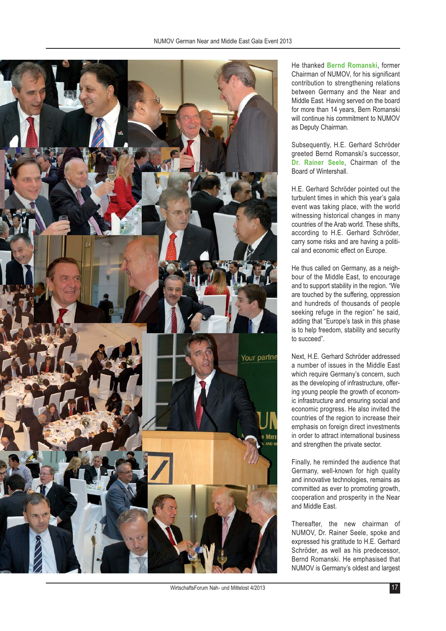

He thanked **Bernd Romanski**, former Chairman of NUMOV, for his significant contribution to strengthening relations between Germany and the Near and Middle East. Having served on the board for more than 14 years, Bern Romanski will continue his commitment to NUMOV as Deputy Chairman.

Subsequently, H.E. Gerhard Schröder greeted Bernd Romanski's successor, **Dr. Rainer Seele**, Chairman of the Board of Wintershall.

H.E. Gerhard Schröder pointed out the turbulent times in which this year's gala event was taking place, with the world witnessing historical changes in many countries of the Arab world. These shifts, according to H.E. Gerhard Schröder, carry some risks and are having a political and economic effect on Europe.

He thus called on Germany, as a neighbour of the Middle East, to encourage and to support stability in the region. "We are touched by the suffering, oppression and hundreds of thousands of people seeking refuge in the region" he said, adding that "Europe's task in this phase is to help freedom, stability and security to succeed".

Next, H.E. Gerhard Schröder addressed a number of issues in the Middle East which require Germany's concern, such as the developing of infrastructure, offering young people the growth of economic infrastructure and ensuring social and economic progress. He also invited the countries of the region to increase their emphasis on foreign direct investments in order to attract international business and strengthen the private sector.

Finally, he reminded the audience that Germany, well-known for high quality and innovative technologies, remains as committed as ever to promoting growth, cooperation and prosperity in the Near and Middle East.

Thereafter, the new chairman of NUMOV, Dr. Rainer Seele, spoke and expressed his gratitude to H.E. Gerhard Schröder, as well as his predecessor, Bernd Romanski. He emphasised that NUMOV is Germany's oldest and largest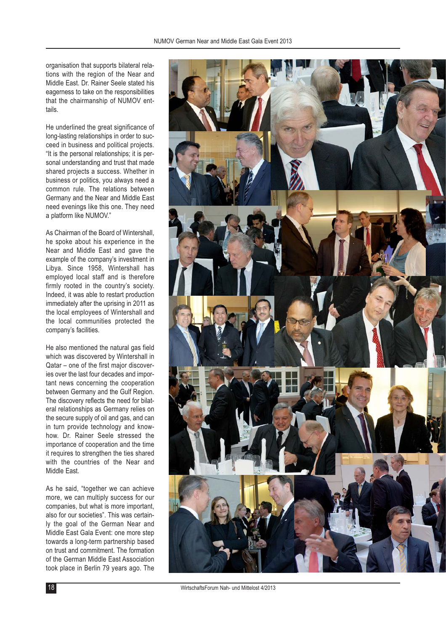organisation that supports bilateral relations with the region of the Near and Middle East. Dr. Rainer Seele stated his eagerness to take on the responsibilities that the chairmanship of NUMOV enttails.

He underlined the great significance of long-lasting relationships in order to succeed in business and political projects. "It is the personal relationships; it is personal understanding and trust that made shared projects a success. Whether in business or politics, you always need a common rule. The relations between Germany and the Near and Middle East need evenings like this one. They need a platform like NUMOV."

As Chairman of the Board of Wintershall, he spoke about his experience in the Near and Middle East and gave the example of the company's investment in Libya. Since 1958, Wintershall has employed local staff and is therefore firmly rooted in the country's society. Indeed, it was able to restart production immediately after the uprising in 2011 as the local employees of Wintershall and the local communities protected the company's facilities.

He also mentioned the natural gas field which was discovered by Wintershall in Qatar – one of the first major discoveries over the last four decades and important news concerning the cooperation between Germany and the Gulf Region. The discovery reflects the need for bilateral relationships as Germany relies on the secure supply of oil and gas, and can in turn provide technology and knowhow. Dr. Rainer Seele stressed the importance of cooperation and the time it requires to strengthen the ties shared with the countries of the Near and Middle East.

As he said, "together we can achieve more, we can multiply success for our companies, but what is more important, also for our societies". This was certainly the goal of the German Near and Middle East Gala Event: one more step towards a long-term partnership based on trust and commitment. The formation of the German Middle East Association took place in Berlin 79 years ago. The



WirtschaftsForum Nah- und Mittelost 4/2013